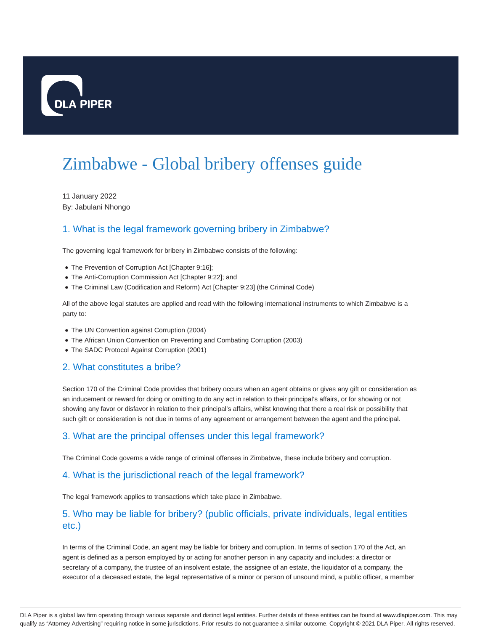

# Zimbabwe - Global bribery offenses guide

11 January 2022 By: Jabulani Nhongo

### 1. What is the legal framework governing bribery in Zimbabwe?

The governing legal framework for bribery in Zimbabwe consists of the following:

- The Prevention of Corruption Act [Chapter 9:16];
- The Anti-Corruption Commission Act [Chapter 9:22]; and
- The Criminal Law (Codification and Reform) Act [Chapter 9:23] (the Criminal Code)

All of the above legal statutes are applied and read with the following international instruments to which Zimbabwe is a party to:

- The UN Convention against Corruption (2004)
- The African Union Convention on Preventing and Combating Corruption (2003)
- The SADC Protocol Against Corruption (2001)

#### 2. What constitutes a bribe?

Section 170 of the Criminal Code provides that bribery occurs when an agent obtains or gives any gift or consideration as an inducement or reward for doing or omitting to do any act in relation to their principal's affairs, or for showing or not showing any favor or disfavor in relation to their principal's affairs, whilst knowing that there a real risk or possibility that such gift or consideration is not due in terms of any agreement or arrangement between the agent and the principal.

#### 3. What are the principal offenses under this legal framework?

The Criminal Code governs a wide range of criminal offenses in Zimbabwe, these include bribery and corruption.

#### 4. What is the jurisdictional reach of the legal framework?

The legal framework applies to transactions which take place in Zimbabwe.

#### 5. Who may be liable for bribery? (public officials, private individuals, legal entities etc.)

In terms of the Criminal Code, an agent may be liable for bribery and corruption. In terms of section 170 of the Act, an agent is defined as a person employed by or acting for another person in any capacity and includes: a director or secretary of a company, the trustee of an insolvent estate, the assignee of an estate, the liquidator of a company, the executor of a deceased estate, the legal representative of a minor or person of unsound mind, a public officer, a member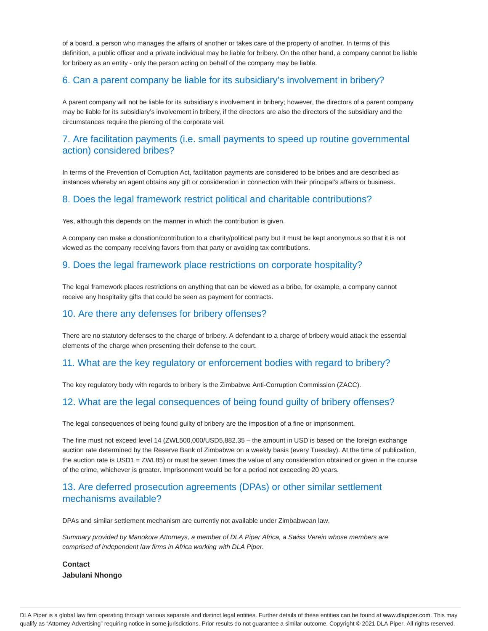of a board, a person who manages the affairs of another or takes care of the property of another. In terms of this definition, a public officer and a private individual may be liable for bribery. On the other hand, a company cannot be liable for bribery as an entity - only the person acting on behalf of the company may be liable.

#### 6. Can a parent company be liable for its subsidiary's involvement in bribery?

A parent company will not be liable for its subsidiary's involvement in bribery; however, the directors of a parent company may be liable for its subsidiary's involvement in bribery, if the directors are also the directors of the subsidiary and the circumstances require the piercing of the corporate veil.

#### 7. Are facilitation payments (i.e. small payments to speed up routine governmental action) considered bribes?

In terms of the Prevention of Corruption Act, facilitation payments are considered to be bribes and are described as instances whereby an agent obtains any gift or consideration in connection with their principal's affairs or business.

#### 8. Does the legal framework restrict political and charitable contributions?

Yes, although this depends on the manner in which the contribution is given.

A company can make a donation/contribution to a charity/political party but it must be kept anonymous so that it is not viewed as the company receiving favors from that party or avoiding tax contributions.

#### 9. Does the legal framework place restrictions on corporate hospitality?

The legal framework places restrictions on anything that can be viewed as a bribe, for example, a company cannot receive any hospitality gifts that could be seen as payment for contracts.

#### 10. Are there any defenses for bribery offenses?

There are no statutory defenses to the charge of bribery. A defendant to a charge of bribery would attack the essential elements of the charge when presenting their defense to the court.

#### 11. What are the key regulatory or enforcement bodies with regard to bribery?

The key regulatory body with regards to bribery is the Zimbabwe Anti-Corruption Commission (ZACC).

#### 12. What are the legal consequences of being found guilty of bribery offenses?

The legal consequences of being found guilty of bribery are the imposition of a fine or imprisonment.

The fine must not exceed level 14 (ZWL500,000/USD5,882.35 – the amount in USD is based on the foreign exchange auction rate determined by the Reserve Bank of Zimbabwe on a weekly basis (every Tuesday). At the time of publication, the auction rate is USD1 = ZWL85) or must be seven times the value of any consideration obtained or given in the course of the crime, whichever is greater. Imprisonment would be for a period not exceeding 20 years.

#### 13. Are deferred prosecution agreements (DPAs) or other similar settlement mechanisms available?

DPAs and similar settlement mechanism are currently not available under Zimbabwean law.

Summary provided by Manokore Attorneys, a member of DLA Piper Africa, a Swiss Verein whose members are comprised of independent law firms in Africa working with DLA Piper.

**Contact Jabulani Nhongo**